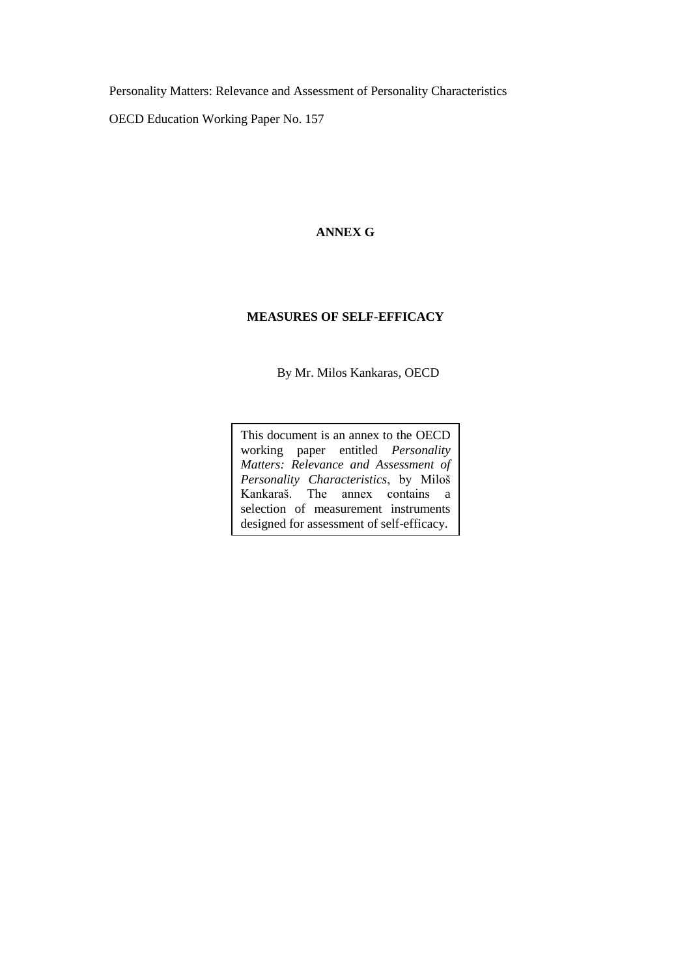Personality Matters: Relevance and Assessment of Personality Characteristics

OECD Education Working Paper No. 157

#### **ANNEX G**

# **MEASURES OF SELF-EFFICACY**

By Mr. Milos Kankaras, OECD

This document is an annex to the OECD working paper entitled *Personality Matters: Relevance and Assessment of Personality Characteristics*, by Miloš Kankaraš. The annex contains a selection of measurement instruments designed for assessment of self-efficacy.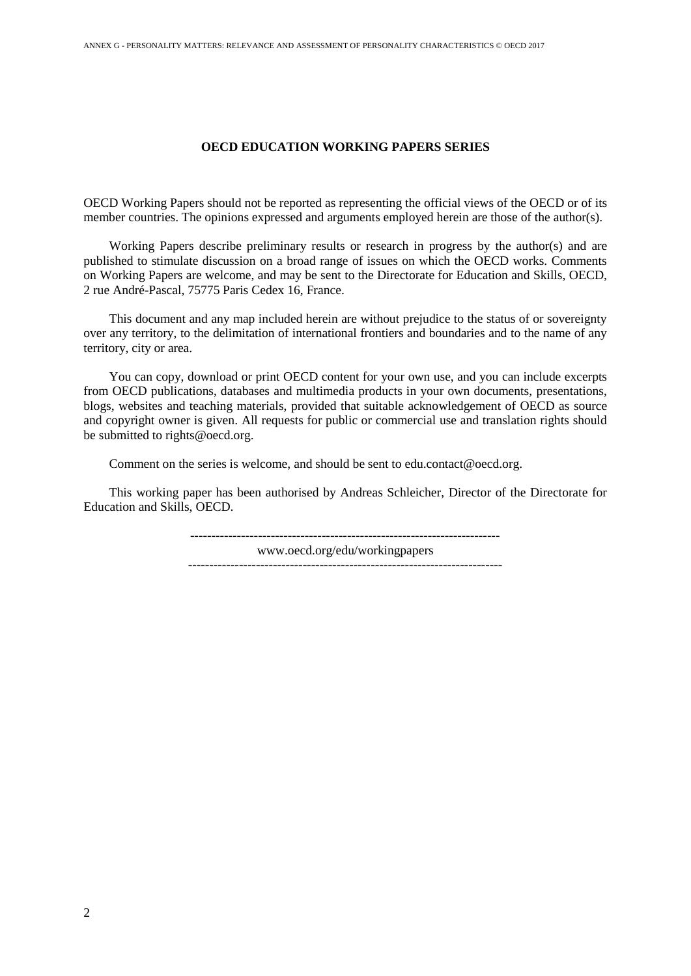#### **OECD EDUCATION WORKING PAPERS SERIES**

OECD Working Papers should not be reported as representing the official views of the OECD or of its member countries. The opinions expressed and arguments employed herein are those of the author(s).

Working Papers describe preliminary results or research in progress by the author(s) and are published to stimulate discussion on a broad range of issues on which the OECD works. Comments on Working Papers are welcome, and may be sent to the Directorate for Education and Skills, OECD, 2 rue André-Pascal, 75775 Paris Cedex 16, France.

This document and any map included herein are without prejudice to the status of or sovereignty over any territory, to the delimitation of international frontiers and boundaries and to the name of any territory, city or area.

You can copy, download or print OECD content for your own use, and you can include excerpts from OECD publications, databases and multimedia products in your own documents, presentations, blogs, websites and teaching materials, provided that suitable acknowledgement of OECD as source and copyright owner is given. All requests for public or commercial use and translation rights should be submitted to rights@oecd.org.

Comment on the series is welcome, and should be sent to edu.contact@oecd.org.

This working paper has been authorised by Andreas Schleicher, Director of the Directorate for Education and Skills, OECD.

> ------------------------------------------------------------------------ www.oecd.org/edu/workingpapers --------------------------------------------------------------------------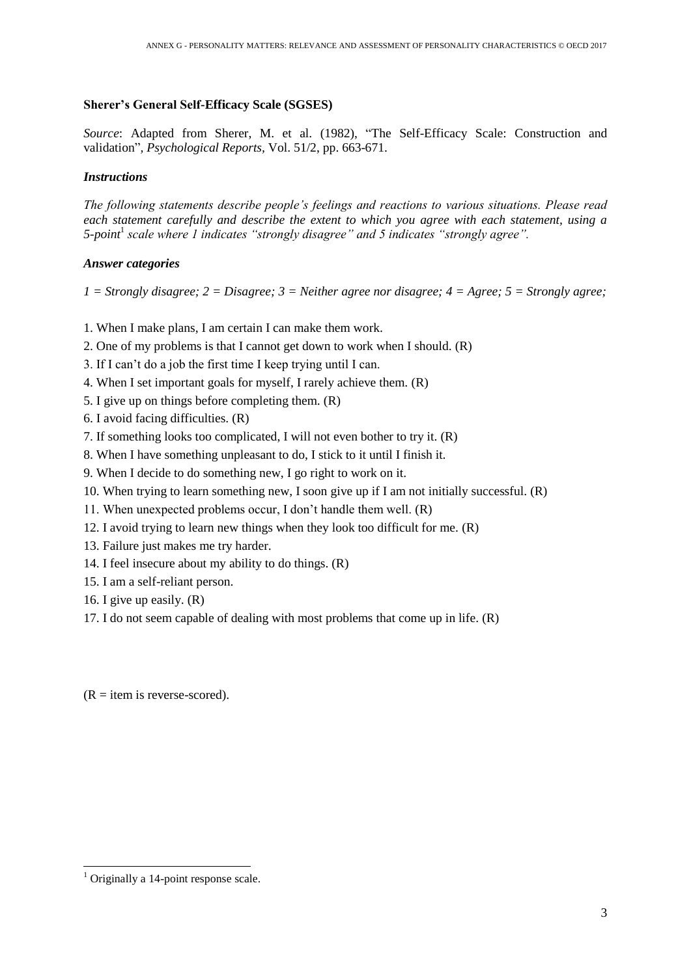#### **Sherer's General Self-Efficacy Scale (SGSES)**

*Source*: Adapted from Sherer, M. et al. (1982), "The Self-Efficacy Scale: Construction and validation"*, Psychological Reports,* Vol. 51/2, pp. 663-671.

# *Instructions*

*The following statements describe people's feelings and reactions to various situations. Please read each statement carefully and describe the extent to which you agree with each statement, using a 5-point*<sup>1</sup> *scale where 1 indicates "strongly disagree" and 5 indicates "strongly agree".*

# *Answer categories*

*1 = Strongly disagree; 2 = Disagree; 3 = Neither agree nor disagree; 4 = Agree; 5 = Strongly agree;*

- 1. When I make plans, I am certain I can make them work.
- 2. One of my problems is that I cannot get down to work when I should. (R)
- 3. If I can't do a job the first time I keep trying until I can.
- 4. When I set important goals for myself, I rarely achieve them. (R)
- 5. I give up on things before completing them. (R)
- 6. I avoid facing difficulties. (R)
- 7. If something looks too complicated, I will not even bother to try it. (R)
- 8. When I have something unpleasant to do, I stick to it until I finish it.
- 9. When I decide to do something new, I go right to work on it.
- 10. When trying to learn something new, I soon give up if I am not initially successful. (R)
- 11. When unexpected problems occur, I don't handle them well. (R)
- 12. I avoid trying to learn new things when they look too difficult for me. (R)
- 13. Failure just makes me try harder.
- 14. I feel insecure about my ability to do things. (R)
- 15. I am a self-reliant person.
- 16. I give up easily. (R)
- 17. I do not seem capable of dealing with most problems that come up in life. (R)

 $(R = item is reverse-scored)$ .

-

 $<sup>1</sup>$  Originally a 14-point response scale.</sup>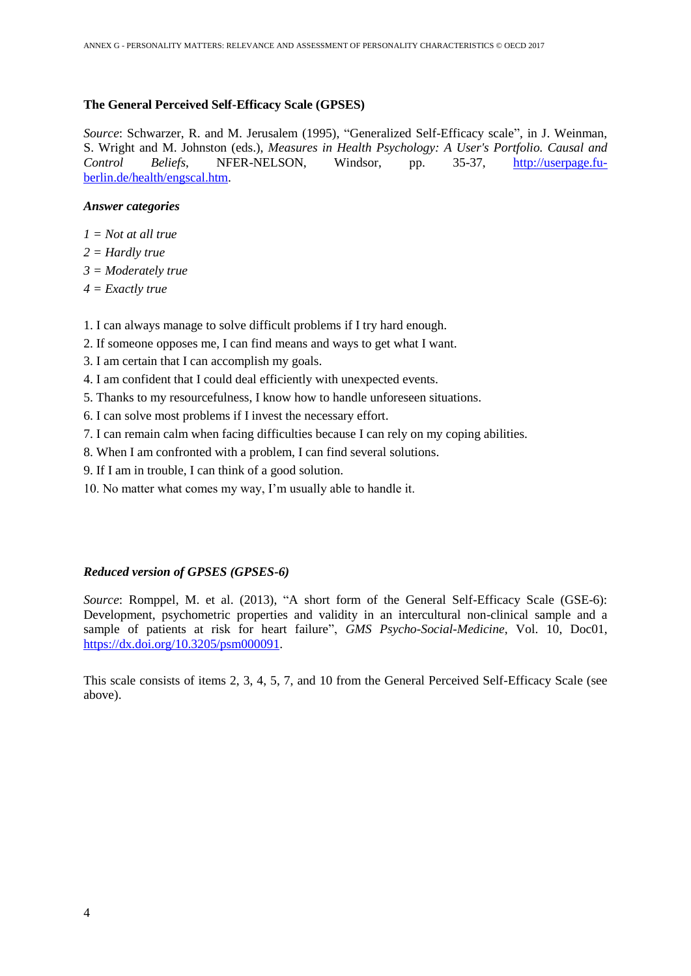# **The General Perceived Self-Efficacy Scale (GPSES)**

*Source*: Schwarzer, R. and M. Jerusalem (1995), "Generalized Self-Efficacy scale", in J. Weinman, S. Wright and M. Johnston (eds.), *Measures in Health Psychology: A User's Portfolio. Causal and Control Beliefs*, NFER-NELSON, Windsor, pp. 35-37, [http://userpage.fu](http://userpage.fu-berlin.de/health/engscal.htm)[berlin.de/health/engscal.htm.](http://userpage.fu-berlin.de/health/engscal.htm)

### *Answer categories*

- *1 = Not at all true*
- *2 = Hardly true*
- *3 = Moderately true*
- *4 = Exactly true*
- 1. I can always manage to solve difficult problems if I try hard enough.
- 2. If someone opposes me, I can find means and ways to get what I want.
- 3. I am certain that I can accomplish my goals.
- 4. I am confident that I could deal efficiently with unexpected events.
- 5. Thanks to my resourcefulness, I know how to handle unforeseen situations.
- 6. I can solve most problems if I invest the necessary effort.
- 7. I can remain calm when facing difficulties because I can rely on my coping abilities.
- 8. When I am confronted with a problem, I can find several solutions.
- 9. If I am in trouble, I can think of a good solution.
- 10. No matter what comes my way, I'm usually able to handle it.

# *Reduced version of GPSES (GPSES-6)*

*Source*: Romppel, M. et al. (2013), "A short form of the General Self-Efficacy Scale (GSE-6): Development, psychometric properties and validity in an intercultural non-clinical sample and a sample of patients at risk for heart failure", *GMS Psycho-Social-Medicine*, Vol. 10, Doc01, [https://dx.doi.org/10.3205/psm000091.](https://dx.doi.org/10.3205/psm000091)

This scale consists of items 2, 3, 4, 5, 7, and 10 from the General Perceived Self-Efficacy Scale (see above).